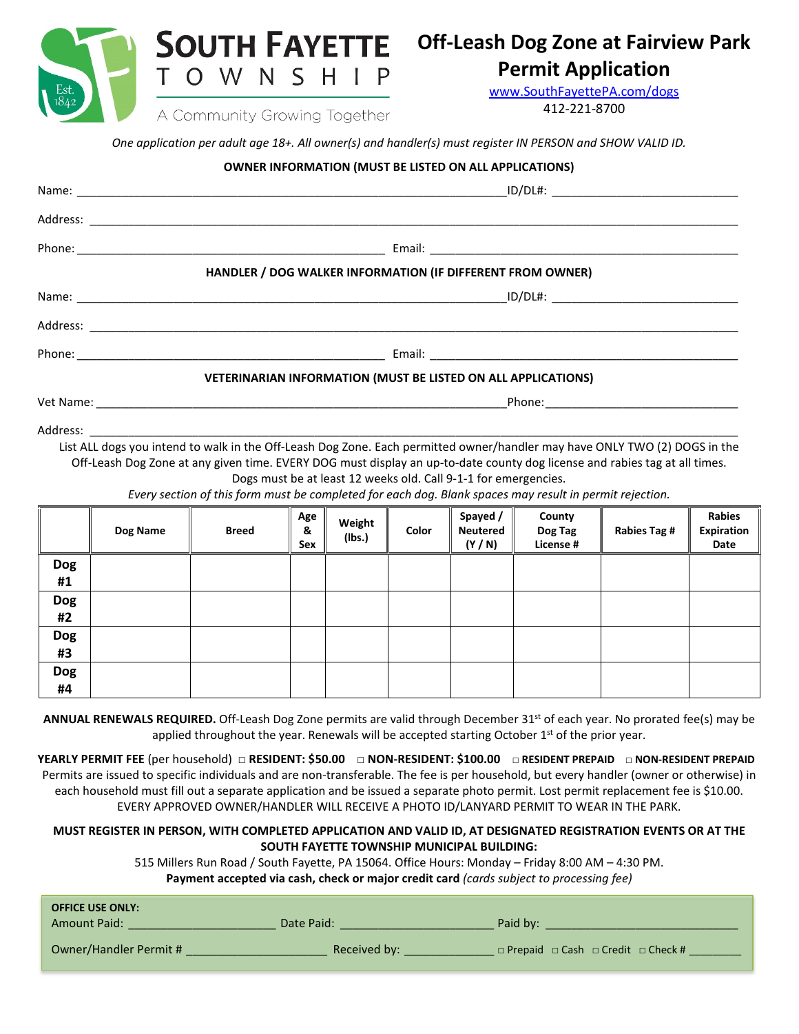**SOUTH FAYETTE** OWNSHIP T

A Community Growing Together

## **Off-Leash Dog Zone at Fairview Park**

### **Permit Application**

[www.SouthFayettePA.com/dogs](http://www.southfayettepa.com/dogs) 412-221-8700

*One application per adult age 18+. All owner(s) and handler(s) must register IN PERSON and SHOW VALID ID.*

### **OWNER INFORMATION (MUST BE LISTED ON ALL APPLICATIONS)**

|                  |                                                                                                                                                                                                                                                          | HANDLER / DOG WALKER INFORMATION (IF DIFFERENT FROM OWNER)                                              |                        |                  |       |                                                                 |                                |              |                                     |
|------------------|----------------------------------------------------------------------------------------------------------------------------------------------------------------------------------------------------------------------------------------------------------|---------------------------------------------------------------------------------------------------------|------------------------|------------------|-------|-----------------------------------------------------------------|--------------------------------|--------------|-------------------------------------|
|                  |                                                                                                                                                                                                                                                          |                                                                                                         |                        |                  |       |                                                                 |                                |              |                                     |
|                  |                                                                                                                                                                                                                                                          |                                                                                                         |                        |                  |       |                                                                 |                                |              |                                     |
|                  |                                                                                                                                                                                                                                                          |                                                                                                         |                        |                  |       |                                                                 |                                |              |                                     |
|                  |                                                                                                                                                                                                                                                          | VETERINARIAN INFORMATION (MUST BE LISTED ON ALL APPLICATIONS)                                           |                        |                  |       |                                                                 |                                |              |                                     |
|                  |                                                                                                                                                                                                                                                          |                                                                                                         |                        |                  |       |                                                                 |                                |              |                                     |
|                  |                                                                                                                                                                                                                                                          |                                                                                                         |                        |                  |       |                                                                 |                                |              |                                     |
|                  | List ALL dogs you intend to walk in the Off-Leash Dog Zone. Each permitted owner/handler may have ONLY TWO (2) DOGS in the<br>Off-Leash Dog Zone at any given time. EVERY DOG must display an up-to-date county dog license and rabies tag at all times. |                                                                                                         |                        |                  |       |                                                                 |                                |              |                                     |
|                  |                                                                                                                                                                                                                                                          | Every section of this form must be completed for each dog. Blank spaces may result in permit rejection. |                        |                  |       | Dogs must be at least 12 weeks old. Call 9-1-1 for emergencies. |                                |              |                                     |
|                  | Dog Name                                                                                                                                                                                                                                                 | <b>Breed</b>                                                                                            | Age<br>&<br><b>Sex</b> | Weight<br>(Ibs.) | Color | Spayed /<br><b>Neutered</b><br>(Y/N)                            | County<br>Dog Tag<br>License # | Rabies Tag # | <b>Rabies</b><br>Expiration<br>Date |
| <b>Dog</b><br>#1 |                                                                                                                                                                                                                                                          |                                                                                                         |                        |                  |       |                                                                 |                                |              |                                     |
| <b>Dog</b>       |                                                                                                                                                                                                                                                          |                                                                                                         |                        |                  |       |                                                                 |                                |              |                                     |

**#2 Dog #3 Dog #4**

**ANNUAL RENEWALS REQUIRED.** Off-Leash Dog Zone permits are valid through December 31st of each year. No prorated fee(s) may be applied throughout the year. Renewals will be accepted starting October  $1<sup>st</sup>$  of the prior year.

**YEARLY PERMIT FEE** (per household) □ **RESIDENT: \$50.00** □ **NON-RESIDENT: \$100.00 □ RESIDENT PREPAID □ NON-RESIDENT PREPAID** Permits are issued to specific individuals and are non-transferable. The fee is per household, but every handler (owner or otherwise) in each household must fill out a separate application and be issued a separate photo permit. Lost permit replacement fee is \$10.00. EVERY APPROVED OWNER/HANDLER WILL RECEIVE A PHOTO ID/LANYARD PERMIT TO WEAR IN THE PARK.

### **MUST REGISTER IN PERSON, WITH COMPLETED APPLICATION AND VALID ID, AT DESIGNATED REGISTRATION EVENTS OR AT THE SOUTH FAYETTE TOWNSHIP MUNICIPAL BUILDING:**

515 Millers Run Road / South Fayette, PA 15064. Office Hours: Monday – Friday 8:00 AM – 4:30 PM. **Payment accepted via cash, check or major credit card** *(cards subject to processing fee)*

| <b>OFFICE USE ONLY:</b> |              |                                                         |
|-------------------------|--------------|---------------------------------------------------------|
| <b>Amount Paid:</b>     | Date Paid:   | Paid by:                                                |
|                         |              |                                                         |
| Owner/Handler Permit #  | Received by: | $\Box$ Prepaid $\Box$ Cash $\Box$ Credit $\Box$ Check # |
|                         |              |                                                         |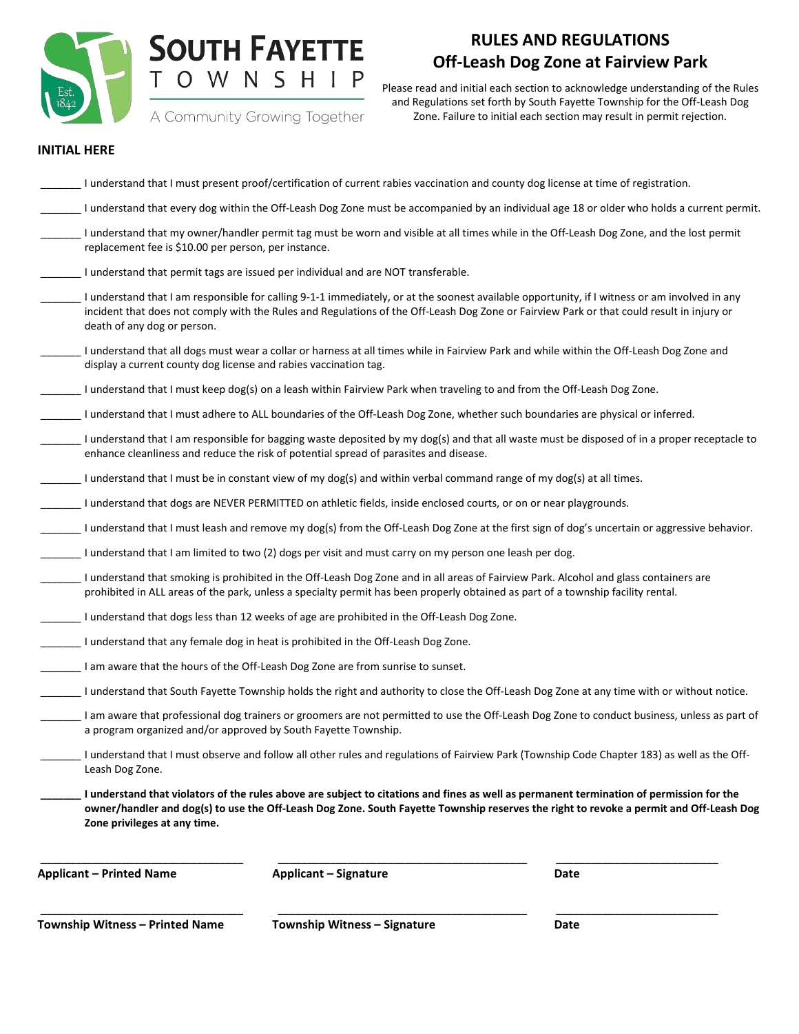

# **SOUTH FAYETTE** TOWNSHIP

### **RULES AND REGULATIONS Off-Leash Dog Zone at Fairview Park**

A Community Growing Together

Please read and initial each section to acknowledge understanding of the Rules and Regulations set forth by South Fayette Township for the Off-Leash Dog Zone. Failure to initial each section may result in permit rejection.

#### **INITIAL HERE**

| <b>Township Witness - Printed Name</b>                           | Township Witness - Signature                                                                                                                                                                                                                                                               | Date                                                                                                                                         |
|------------------------------------------------------------------|--------------------------------------------------------------------------------------------------------------------------------------------------------------------------------------------------------------------------------------------------------------------------------------------|----------------------------------------------------------------------------------------------------------------------------------------------|
| <b>Applicant – Printed Name</b>                                  | <b>Applicant - Signature</b>                                                                                                                                                                                                                                                               | Date                                                                                                                                         |
| Zone privileges at any time.                                     | I understand that violators of the rules above are subject to citations and fines as well as permanent termination of permission for the                                                                                                                                                   | owner/handler and dog(s) to use the Off-Leash Dog Zone. South Fayette Township reserves the right to revoke a permit and Off-Leash Dog       |
| Leash Dog Zone.                                                  |                                                                                                                                                                                                                                                                                            | I understand that I must observe and follow all other rules and regulations of Fairview Park (Township Code Chapter 183) as well as the Off- |
| a program organized and/or approved by South Fayette Township.   |                                                                                                                                                                                                                                                                                            | I am aware that professional dog trainers or groomers are not permitted to use the Off-Leash Dog Zone to conduct business, unless as part of |
|                                                                  |                                                                                                                                                                                                                                                                                            | I understand that South Fayette Township holds the right and authority to close the Off-Leash Dog Zone at any time with or without notice.   |
|                                                                  | I am aware that the hours of the Off-Leash Dog Zone are from sunrise to sunset.                                                                                                                                                                                                            |                                                                                                                                              |
|                                                                  | I understand that any female dog in heat is prohibited in the Off-Leash Dog Zone.                                                                                                                                                                                                          |                                                                                                                                              |
|                                                                  | I understand that dogs less than 12 weeks of age are prohibited in the Off-Leash Dog Zone.                                                                                                                                                                                                 |                                                                                                                                              |
|                                                                  | I understand that smoking is prohibited in the Off-Leash Dog Zone and in all areas of Fairview Park. Alcohol and glass containers are<br>prohibited in ALL areas of the park, unless a specialty permit has been properly obtained as part of a township facility rental.                  |                                                                                                                                              |
|                                                                  | I understand that I am limited to two (2) dogs per visit and must carry on my person one leash per dog.                                                                                                                                                                                    |                                                                                                                                              |
|                                                                  |                                                                                                                                                                                                                                                                                            | I understand that I must leash and remove my dog(s) from the Off-Leash Dog Zone at the first sign of dog's uncertain or aggressive behavior. |
|                                                                  | I understand that dogs are NEVER PERMITTED on athletic fields, inside enclosed courts, or on or near playgrounds.                                                                                                                                                                          |                                                                                                                                              |
|                                                                  | I understand that I must be in constant view of my dog(s) and within verbal command range of my dog(s) at all times.                                                                                                                                                                       |                                                                                                                                              |
|                                                                  | enhance cleanliness and reduce the risk of potential spread of parasites and disease.                                                                                                                                                                                                      | I understand that I am responsible for bagging waste deposited by my dog(s) and that all waste must be disposed of in a proper receptacle to |
|                                                                  | I understand that I must adhere to ALL boundaries of the Off-Leash Dog Zone, whether such boundaries are physical or inferred.                                                                                                                                                             |                                                                                                                                              |
|                                                                  | I understand that I must keep dog(s) on a leash within Fairview Park when traveling to and from the Off-Leash Dog Zone.                                                                                                                                                                    |                                                                                                                                              |
| display a current county dog license and rabies vaccination tag. | I understand that all dogs must wear a collar or harness at all times while in Fairview Park and while within the Off-Leash Dog Zone and                                                                                                                                                   |                                                                                                                                              |
| death of any dog or person.                                      | I understand that I am responsible for calling 9-1-1 immediately, or at the soonest available opportunity, if I witness or am involved in any<br>incident that does not comply with the Rules and Regulations of the Off-Leash Dog Zone or Fairview Park or that could result in injury or |                                                                                                                                              |
|                                                                  | I understand that permit tags are issued per individual and are NOT transferable.                                                                                                                                                                                                          |                                                                                                                                              |
| replacement fee is \$10.00 per person, per instance.             | I understand that my owner/handler permit tag must be worn and visible at all times while in the Off-Leash Dog Zone, and the lost permit                                                                                                                                                   |                                                                                                                                              |
|                                                                  |                                                                                                                                                                                                                                                                                            | I understand that every dog within the Off-Leash Dog Zone must be accompanied by an individual age 18 or older who holds a current permit.   |
|                                                                  | I understand that I must present proof/certification of current rabies vaccination and county dog license at time of registration.                                                                                                                                                         |                                                                                                                                              |